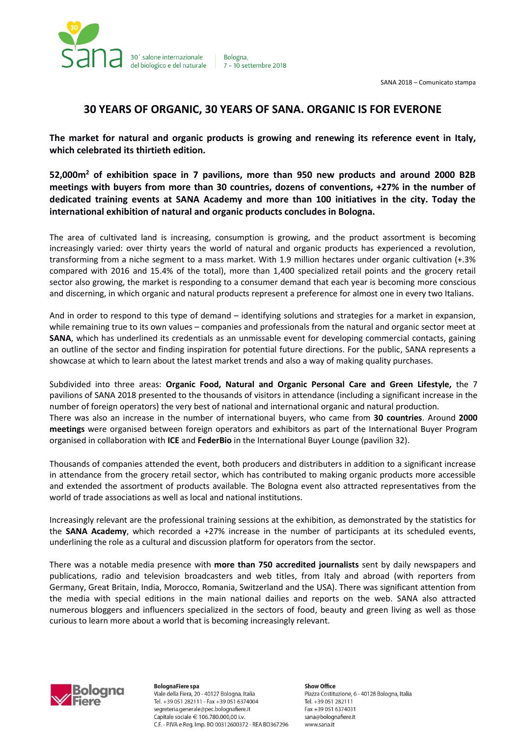

Bologna. 7 - 10 settembre 2018

# **30 YEARS OF ORGANIC, 30 YEARS OF SANA. ORGANIC IS FOR EVERONE**

**The market for natural and organic products is growing and renewing its reference event in Italy, which celebrated its thirtieth edition.**

**52,000m<sup>2</sup> of exhibition space in 7 pavilions, more than 950 new products and around 2000 B2B meetings with buyers from more than 30 countries, dozens of conventions, +27% in the number of dedicated training events at SANA Academy and more than 100 initiatives in the city. Today the international exhibition of natural and organic products concludes in Bologna.**

The area of cultivated land is increasing, consumption is growing, and the product assortment is becoming increasingly varied: over thirty years the world of natural and organic products has experienced a revolution, transforming from a niche segment to a mass market. With 1.9 million hectares under organic cultivation (+.3% compared with 2016 and 15.4% of the total), more than 1,400 specialized retail points and the grocery retail sector also growing, the market is responding to a consumer demand that each year is becoming more conscious and discerning, in which organic and natural products represent a preference for almost one in every two Italians.

And in order to respond to this type of demand – identifying solutions and strategies for a market in expansion, while remaining true to its own values – companies and professionals from the natural and organic sector meet at **SANA**, which has underlined its credentials as an unmissable event for developing commercial contacts, gaining an outline of the sector and finding inspiration for potential future directions. For the public, SANA represents a showcase at which to learn about the latest market trends and also a way of making quality purchases.

Subdivided into three areas: **Organic Food, Natural and Organic Personal Care and Green Lifestyle,** the 7 pavilions of SANA 2018 presented to the thousands of visitors in attendance (including a significant increase in the number of foreign operators) the very best of national and international organic and natural production. There was also an increase in the number of international buyers, who came from **30 countries**. Around **2000 meetings** were organised between foreign operators and exhibitors as part of the International Buyer Program organised in collaboration with **ICE** and **FederBio** in the International Buyer Lounge (pavilion 32).

Thousands of companies attended the event, both producers and distributers in addition to a significant increase in attendance from the grocery retail sector, which has contributed to making organic products more accessible and extended the assortment of products available. The Bologna event also attracted representatives from the world of trade associations as well as local and national institutions.

Increasingly relevant are the professional training sessions at the exhibition, as demonstrated by the statistics for the **SANA Academy**, which recorded a +27% increase in the number of participants at its scheduled events, underlining the role as a cultural and discussion platform for operators from the sector.

There was a notable media presence with **more than 750 accredited journalists** sent by daily newspapers and publications, radio and television broadcasters and web titles, from Italy and abroad (with reporters from Germany, Great Britain, India, Morocco, Romania, Switzerland and the USA). There was significant attention from the media with special editions in the main national dailies and reports on the web. SANA also attracted numerous bloggers and influencers specialized in the sectors of food, beauty and green living as well as those curious to learn more about a world that is becoming increasingly relevant.



**BolognaFiere** spa Viale della Fiera, 20 - 40127 Bologna, Italia Tel. +39 051 282111 - Fax +39 051 6374004 segreteria.generale@pec.bolognafiere.it Capitale sociale € 106.780.000,00 i.v. C.F. - P.IVA e Reg. Imp. BO 00312600372 - REA BO367296

**Show Office** Piazza Costituzione, 6 - 40128 Bologna, Italia Tel. +39 051 282111 Fax +39 051 6374031 sana@bolognafiere.it www.sana.it